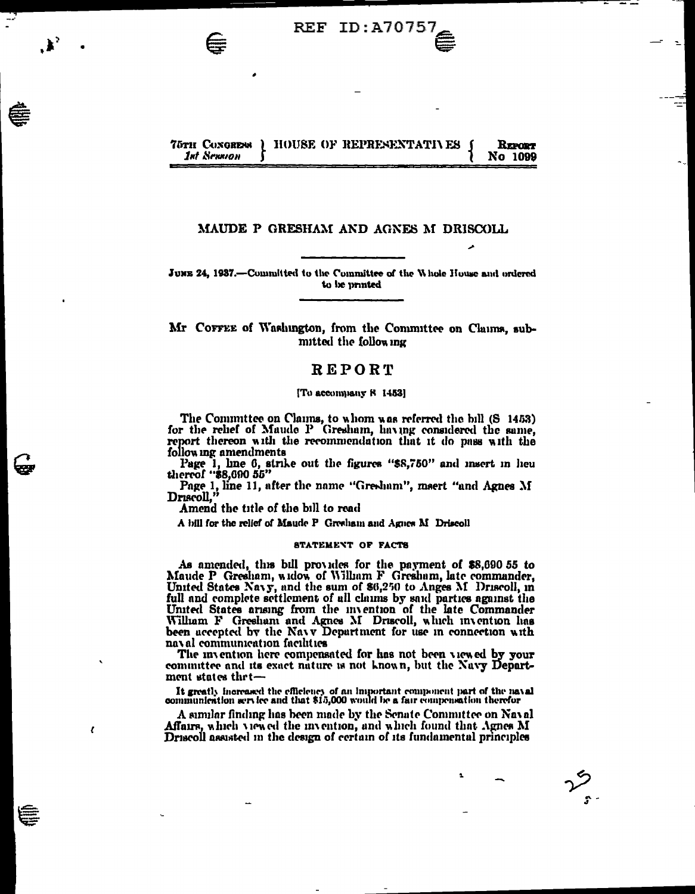#### **75TH CONGRENS** HOUSE OF REPRESENTATIVES REPORT **1st Sexsion** No 1099

**REF ID:A70757** 

## MAUDE P GRESHAM AND AGNES M DRISCOLL

JUNE 24, 1937.—Committed to the Committee of the Whole House and ordered to be printed

Mr COFFEE of Washington, from the Committee on Claims, submitted the following

# REPORT

#### [To accompany 8 1453]

The Committee on Claims, to whom was referred the bill (S 1453) for the rehef of Maude P Gresham, having considered the same, report thereon with the recommendation that it do pass with the following amendments

Page 1, line 6, strike out the figures "\$8,750" and insert in heu thereof "\$8,690 55"

Page 1, line 11, after the name "Gresham", maert "and Agnes M Driscoll,"

Amend the title of the bill to read

 $\epsilon$ 

A bill for the relief of Maude P Greeham and Agnes M Driscoll

#### **STATEMENT OF FACTS**

As amended, this bill provides for the payment of \$8,690 55 to Maude P Gresham, widow of Wilham F Gresham, late commander, United States Navy, and the sum of \$6,250 to Anges M Driscoll, in full and complete settlement of all claims by said parties against the United States arising from the invention of the late Commander William F Gresham and Agnes M Driscoll, which invention has been accepted by the Navy Department for use in connection with naval communication facilities

The invention here compensated for has not been viewed by your committee and its exact nature is not known, but the Navy Department states thet-

It greatly increased the efficiency of an important component part of the naval communication service and that \$15,000 would be a fair compensation therefor

A similar finding has been made by the Senate Committee on Naval Affairs, which viewed the invention, and which found that Agnes M Driscoll assisted in the design of certain of its fundamental principles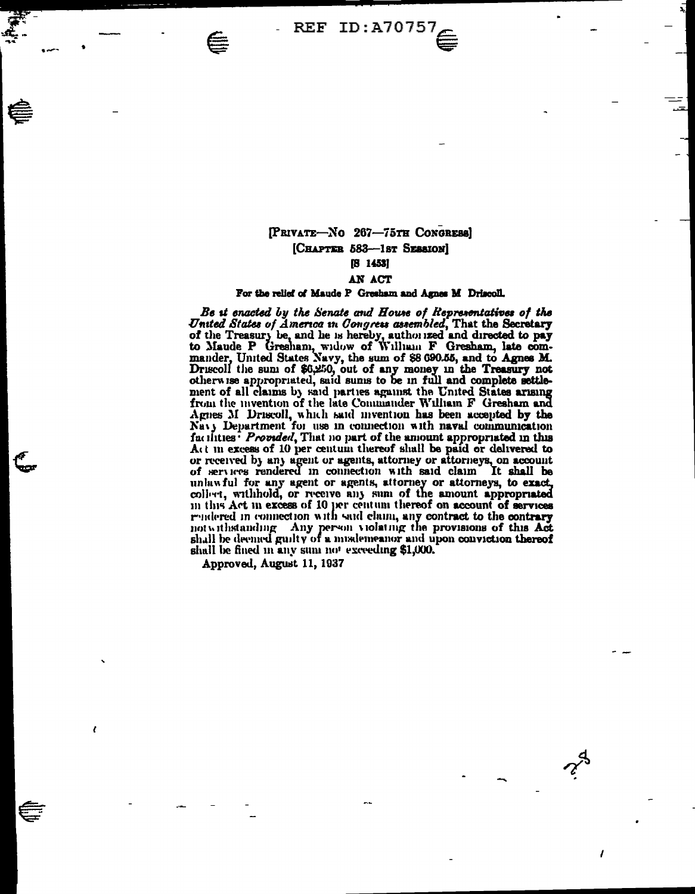REF ID: A70757

# [PRIVATE-No 267-75TH CONGRESS] [CHAPTER 583-1st SESSION]  $[8 \t1453]$

### AN ACT

# For the relief of Maude P Gresham and Agnes M Driscoll.

Be it enacted by the Senate and House of Representatives of the United States of America in Congress assembled, That the Secretary Onten States of America in Congress assembled, I hat the Secretary<br>of the Treasury be, and he is hereby, authorized and directed to pay<br>to Maude P Gresham, wilow of William F Gresham, late com-<br>mander, United States Navy, ment of all claims by said parties against the United States arising from the invention of the late Commander William F Gresham and Agnes M Driscoll, which said invention has been accepted by the Navy Department for use in connection with naval communication facilities<sup>:</sup> Provided, That no part of the amount appropriated in this Act in excess of 10 per centum thereof shall be paid or delivered to or received by any agent or agents, attorney or attorneys, on account of services rendered in connection with said claim. It shall be unlawful for any agent or agents, attorney or attorneys, to exact, collect, withhold, or receive any sum of the amount appropriated in this Act in excess of 10 per centum thereof on account of services rendered in connection with said claim, any contract to the contrary not withstanding Any person violating the provisions of this Act shall be deemed guilty of a misdemeanor and upon conviction thereof shall be fined in any sum not exceeding \$1,000.

Approved, August 11, 1937

.<br>mer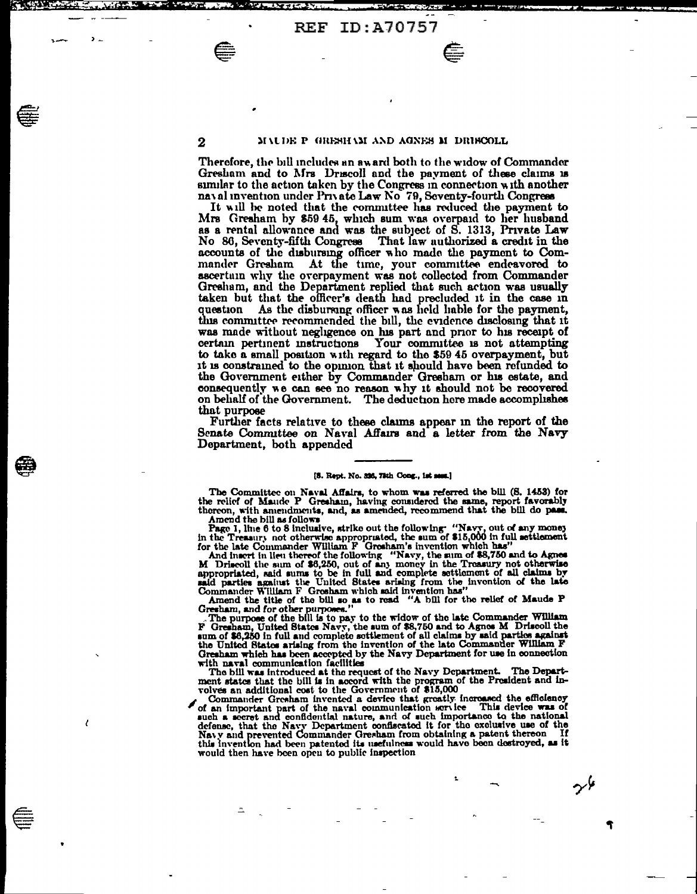⋹

 $\overline{2}$ 

t,

#### MALDE P GRESHAM AND AGNES M DRISCOLL

Therefore, the bill includes an award both to the widow of Commander Gresham and to Mrs Druscoll and the payment of these claims is similar to the action taken by the Congress in connection with another naval invention under Private Law No 79, Seventy-fourth Congress

It will be noted that the committee has reduced the payment to Mrs Gresham by \$59 45, which sum was overpaid to her husband as a rental allowance and was the subject of S. 1313, Private Law That law authorized a credit in the No 86, Seventy-fifth Congress accounts of the disbursing officer who made the payment to Commander Gresham At the time, your committee endeavored to ascertain why the overpayment was not collected from Commander Gresham, and the Department replied that such action was usually taken but that the officer's death had precluded it in the case in As the disbursing officer was held hable for the payment, question this committee recommended the bill, the evidence disclosing that it was made without negligence on his part and prior to his receipt of certain pertinent instructions Your committee is not attempting to take a small position with regard to the \$59 45 overpayment, but it is constrained to the opinion that it should have been refunded to the Government either by Commander Gresham or his estate, and consequently we can see no reason why it should not be recovered on behalf of the Government. The deduction here made accomplishes that purpose

Further facts relative to these claims appear in the report of the Senate Committee on Naval Affairs and a letter from the Navy Department, both appended

#### [8. Rept. No. 336, 78th Cong., ist sest.]

The Committee on Naval Affairs, to whom was referred the bill (S. 1453) for the relief of Maude P Greenam, having considered the same, report favorably thereon, with amendments, and, as amended, recommend that the bill do pass.

Amend the bill as follows. And, as amended, recommend that the bill do pass.<br>Amend the bill as follows are the sum of \$15,000 in full settlement<br>in the Treasury not otherwise appropriated, the sum of \$15,000 in full settl

for the late Commander William F Grosham's invention which has"<br>And insert in lieu thereof the following "Navy, the sum of \$8,750 and to Agnes<br>M Driscoll the sum of \$6,250, out of any money in the Treasury not otherwise<br>a

the United States arising from the invention of the late Commander William F Greatian which has been accepted by the Navy Department for use in connection

with naval communication facilities<br>The bill was introduced at the request of the Navy Department. The Department<br>States that the bill is in accord with the program of the Prosident and in-<br>volves an additional cost to the

November Greenlam invented a device the streaking increased the efficiency<br>Commander Greenlam invented a device that greatly increased the efficiency<br>and on important part of the naval countumleation service. This device w would then have been open to public inspection

9